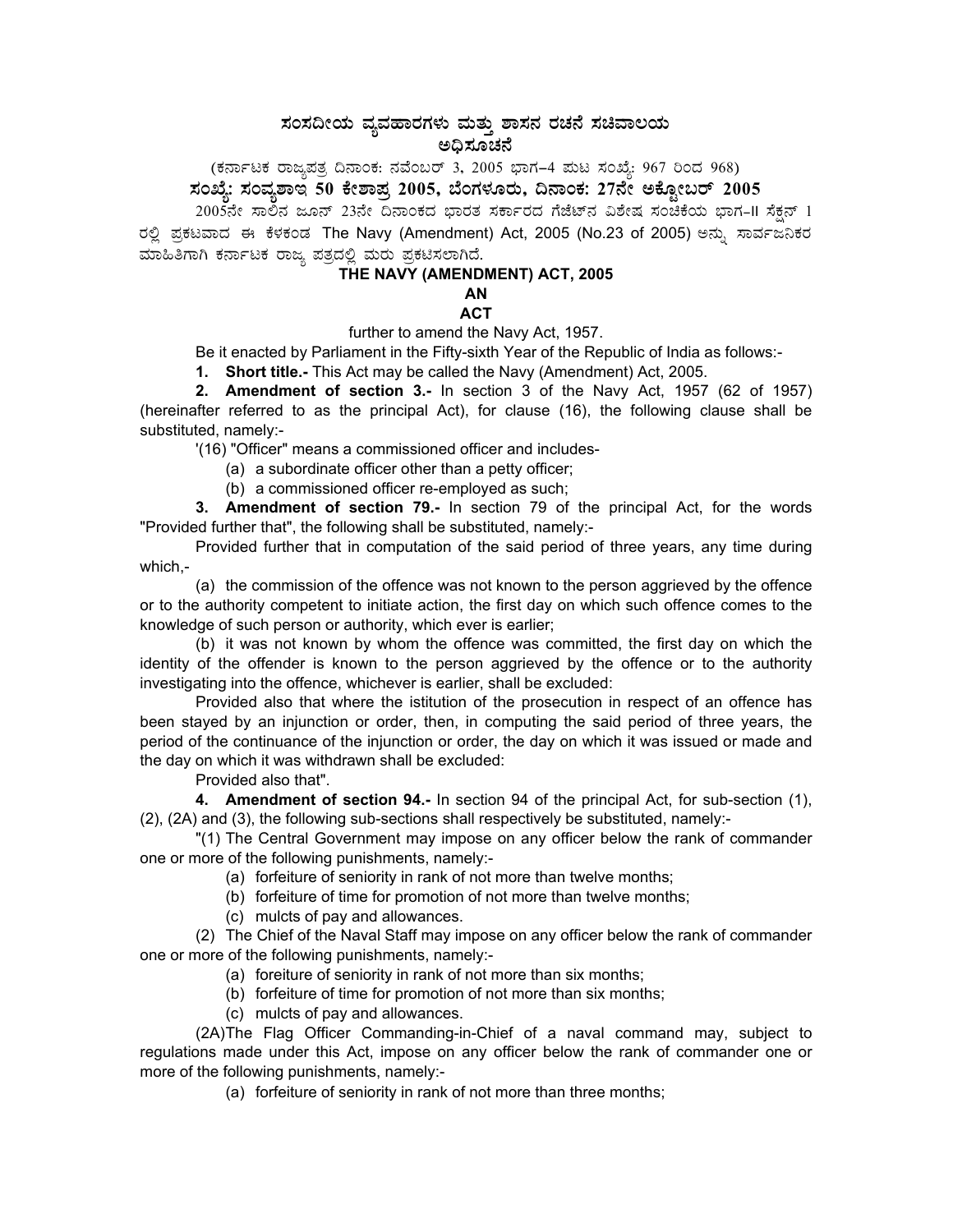## ಸಂಸದೀಯ ವ್ಯವಹಾರಗಳು ಮತ್ತು ಶಾಸನ ರಚನೆ ಸಚಿವಾಲಯ<br>ಅಧಿಸೂಚನೆ

(ಕರ್ನಾಟಕ ರಾಜ್ಯಪತ್ರ ದಿನಾಂಕ: ನವೆಂಬರ್ 3, 2005 ಭಾಗ–4 ಮಟ ಸಂಖ್ಯೆ: 967 ರಿಂದ 968)<br>ಸಂಖ್ಯೆ: ಸಂವ್ಯಶಾಇ 50 ಕೇಶಾಪ್ರ 2005, ಬೆಂಗಳೂರು, ದಿನಾಂಕ: 27ನೇ ಅಕ್ಟೋಬರ್ 2005

2005ನೇ ಸಾಲಿನ ಜೂನ್ 23ನೇ ದಿನಾಂಕದ ಭಾರತ ಸರ್ಕಾರದ ಗೆಜೆಟ್ನ ವಿಶೇಷ ಸಂಚಿಕೆಯ ಭಾಗ-II ಸೆಕ್ಷನ್ 1 ರಲ್ಲಿ ಪ್ರಕಟವಾದ ಈ ಕೆಳಕಂಡ The Navy (Amendment) Act, 2005 (No.23 of 2005) ಅನ್ನು ಸಾರ್ವಜನಿಕರ ಮಾಹಿತಿಗಾಗಿ ಕರ್ನಾಟಕ ರಾಜ್ಯ ಪತ್ರದಲ್ಲಿ ಮರು ಪ್ರಕಟಿಸಲಾಗಿದೆ.

## THE NAVY (AMENDMENT) ACT, 2005

AN

## **ACT**

further to amend the Navy Act, 1957.

Be it enacted by Parliament in the Fifty-sixth Year of the Republic of India as follows:-

1. Short title.- This Act may be called the Navy (Amendment) Act, 2005.

2. Amendment of section 3.- In section 3 of the Navy Act, 1957 (62 of 1957) (hereinafter referred to as the principal Act), for clause (16), the following clause shall be substituted, namely:-

'(16) "Officer" means a commissioned officer and includes-

(a) a subordinate officer other than a petty officer;

(b) a commissioned officer re-employed as such;

3. Amendment of section 79.- In section 79 of the principal Act, for the words "Provided further that", the following shall be substituted, namely:-

Provided further that in computation of the said period of three years, any time during which,-

(a) the commission of the offence was not known to the person aggrieved by the offence or to the authority competent to initiate action, the first day on which such offence comes to the knowledge of such person or authority, which ever is earlier;

(b) it was not known by whom the offence was committed, the first day on which the identity of the offender is known to the person aggrieved by the offence or to the authority investigating into the offence, whichever is earlier, shall be excluded:

Provided also that where the istitution of the prosecution in respect of an offence has been stayed by an injunction or order, then, in computing the said period of three years, the period of the continuance of the injunction or order, the day on which it was issued or made and the day on which it was withdrawn shall be excluded:

Provided also that".

4. Amendment of section 94.- In section 94 of the principal Act, for sub-section (1), (2), (2A) and (3), the following sub-sections shall respectively be substituted, namely:-

"(1) The Central Government may impose on any officer below the rank of commander one or more of the following punishments, namely:-

(a) forfeiture of seniority in rank of not more than twelve months;

(b) forfeiture of time for promotion of not more than twelve months;

(c) mulcts of pay and allowances.

(2) The Chief of the Naval Staff may impose on any officer below the rank of commander one or more of the following punishments, namely:-

- (a) foreiture of seniority in rank of not more than six months;
- (b) forfeiture of time for promotion of not more than six months;
- (c) mulcts of pay and allowances.

(2A)The Flag Officer Commanding-in-Chief of a naval command may, subject to regulations made under this Act, impose on any officer below the rank of commander one or more of the following punishments, namely:-

(a) forfeiture of seniority in rank of not more than three months;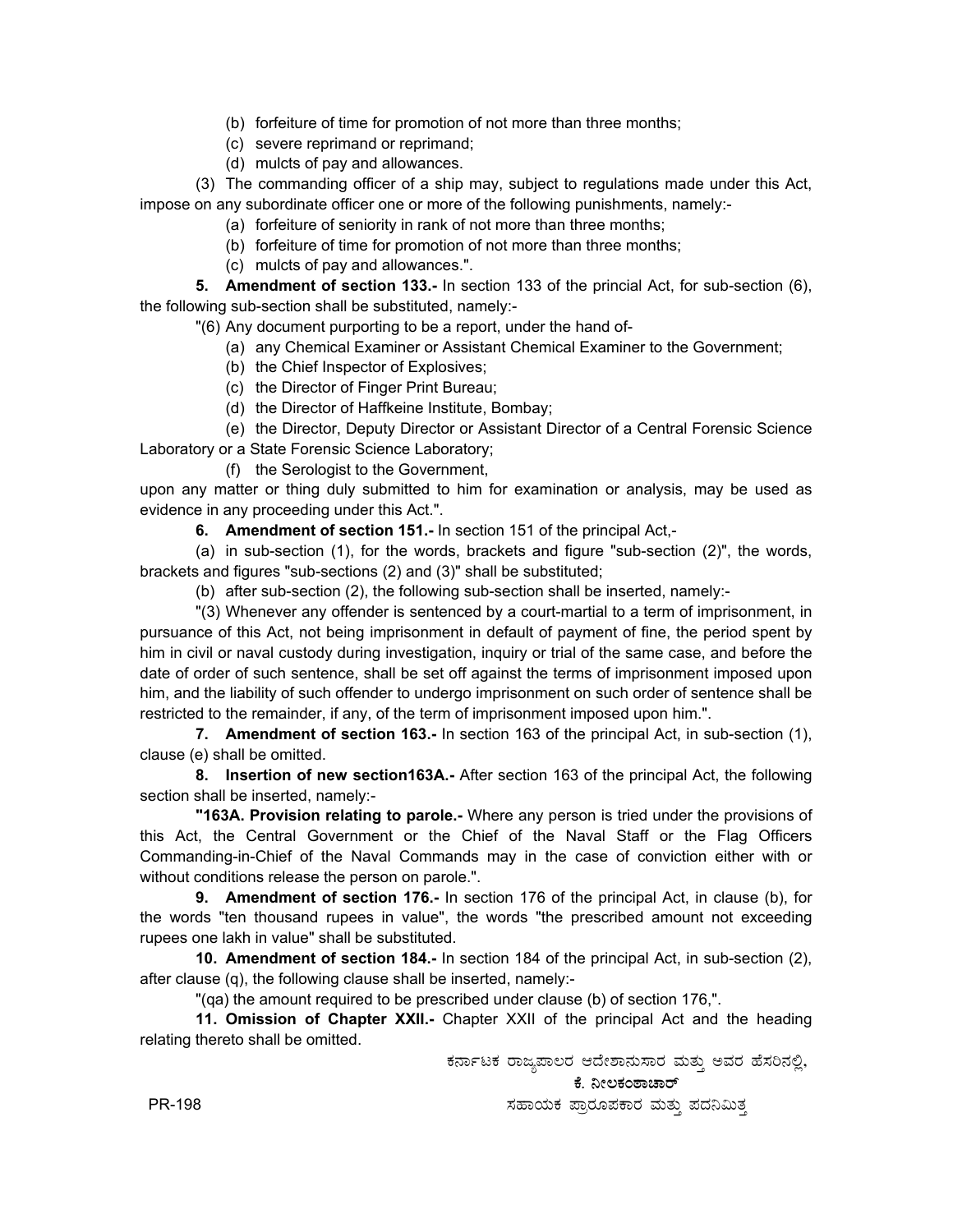- (b) forfeiture of time for promotion of not more than three months;
- (c) severe reprimand or reprimand;
- (d) mulcts of pay and allowances.

(3) The commanding officer of a ship may, subject to regulations made under this Act, impose on any subordinate officer one or more of the following punishments, namely:-

- (a) forfeiture of seniority in rank of not more than three months;
	- (b) forfeiture of time for promotion of not more than three months;
- (c) mulcts of pay and allowances.".

**5. Amendment of section 133.-** In section 133 of the princial Act, for sub-section (6), the following sub-section shall be substituted, namely:-

"(6) Any document purporting to be a report, under the hand of-

- (a) any Chemical Examiner or Assistant Chemical Examiner to the Government;
- (b) the Chief Inspector of Explosives;
- (c) the Director of Finger Print Bureau;
- (d) the Director of Haffkeine Institute, Bombay;

(e) the Director, Deputy Director or Assistant Director of a Central Forensic Science Laboratory or a State Forensic Science Laboratory;

(f) the Serologist to the Government,

upon any matter or thing duly submitted to him for examination or analysis, may be used as evidence in any proceeding under this Act.".

**6. Amendment of section 151.-** In section 151 of the principal Act,-

(a) in sub-section (1), for the words, brackets and figure "sub-section (2)", the words, brackets and figures "sub-sections (2) and (3)" shall be substituted;

(b) after sub-section (2), the following sub-section shall be inserted, namely:-

"(3) Whenever any offender is sentenced by a court-martial to a term of imprisonment, in pursuance of this Act, not being imprisonment in default of payment of fine, the period spent by him in civil or naval custody during investigation, inquiry or trial of the same case, and before the date of order of such sentence, shall be set off against the terms of imprisonment imposed upon him, and the liability of such offender to undergo imprisonment on such order of sentence shall be restricted to the remainder, if any, of the term of imprisonment imposed upon him.".

**7. Amendment of section 163.-** In section 163 of the principal Act, in sub-section (1), clause (e) shall be omitted.

**8. Insertion of new section163A.-** After section 163 of the principal Act, the following section shall be inserted, namely:-

**"163A. Provision relating to parole.-** Where any person is tried under the provisions of this Act, the Central Government or the Chief of the Naval Staff or the Flag Officers Commanding-in-Chief of the Naval Commands may in the case of conviction either with or without conditions release the person on parole.".

**9. Amendment of section 176.-** In section 176 of the principal Act, in clause (b), for the words "ten thousand rupees in value", the words "the prescribed amount not exceeding rupees one lakh in value" shall be substituted.

**10. Amendment of section 184.-** In section 184 of the principal Act, in sub-section (2), after clause (q), the following clause shall be inserted, namely:-

"(qa) the amount required to be prescribed under clause (b) of section 176,".

**11. Omission of Chapter XXII.-** Chapter XXII of the principal Act and the heading relating thereto shall be omitted.

ಕರ್ನಾಟಕ ರಾಜ್ಯಪಾಲರ ಆದೇಶಾನುಸಾರ ಮತ್ತು ಅವರ ಹೆಸರಿನಲ್ಲಿ,

ಕೆ. ನೀಲಕಂಠಾಚಾರ್

ಸಹಾಯಕ ಪ್ರಾರೂಪಕಾರ ಮತ್ತು ಪದನಿಮಿತ್ತ

PR-198